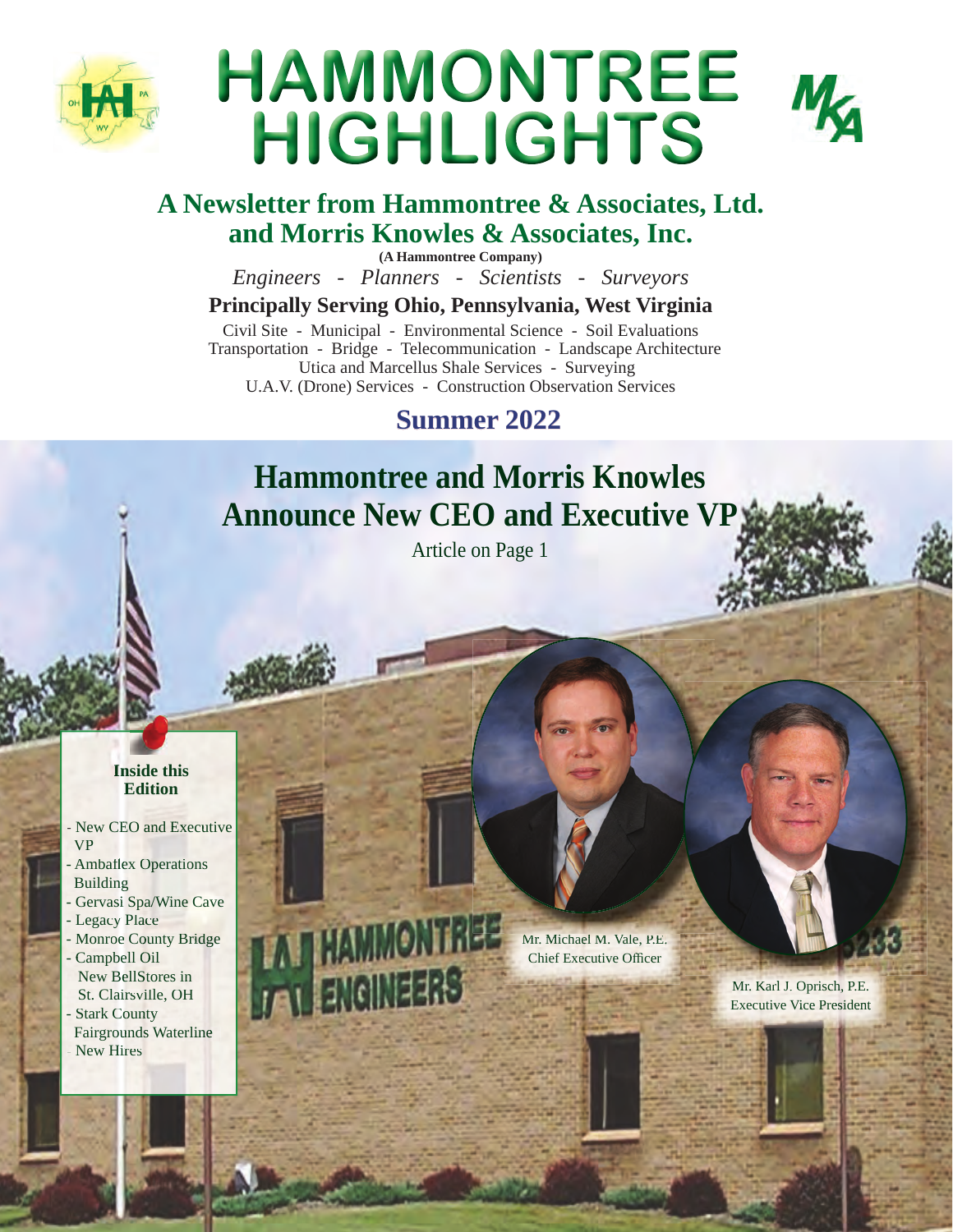

# HAMMONTREE HIGHLIGHTS

## **A Newsletter from Hammontree & Associates, Ltd. and Morris Knowles & Associates, Inc.**

**(A Hammontree Company)**

*Engineers - Planners - Scientists - Surveyors*

## **Principally Serving Ohio, Pennsylvania, West Virginia**

Civil Site - Municipal - Environmental Science - Soil Evaluations Transportation - Bridge - Telecommunication - Landscape Architecture Utica and Marcellus Shale Services - Surveying U.A.V. (Drone) Services - Construction Observation Services

# **Summer 2022**

# **Hammontree and Morris Knowles Announce New CEO and Executive VP**

Article on Page 1

## **Inside this Edition**

- New CEO and Executive VP
- Ambaflex Operations Building
- Gervasi Spa/Wine Cave
- Legacy Place
- Monroe County Bridge
- Campbell Oil New BellStores in St. Clairsville, OH
- Stark County
- Fairgrounds Waterline - New Hires

**MONTREE** 

Mr. Michael M. Vale, P.E. Chief Executive Officer

> Mr. Karl J. Oprisch, P.E. Executive Vice President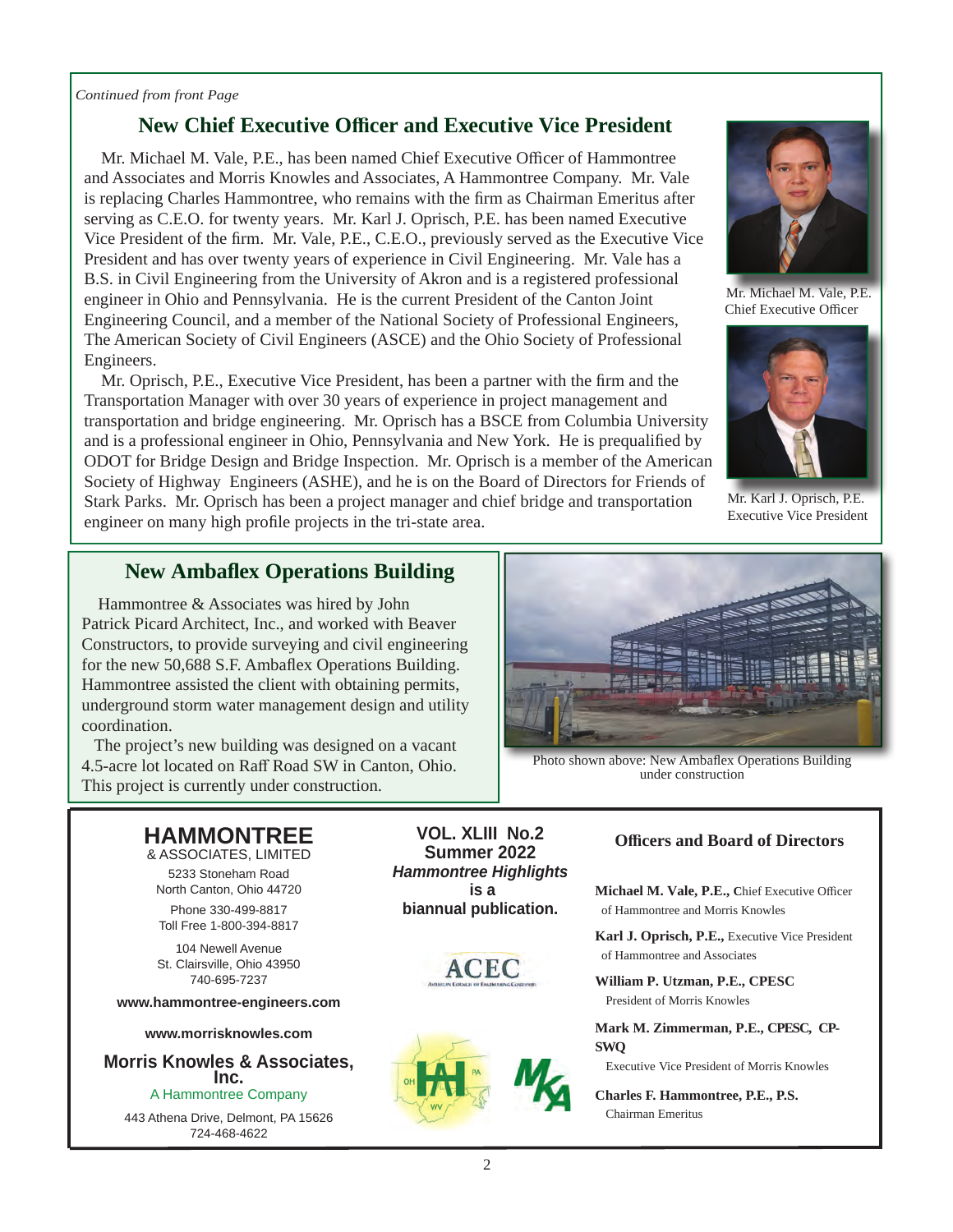### *Continued from front Page*

## **New Chief Executive Officer and Executive Vice President**

Mr. Michael M. Vale, P.E., has been named Chief Executive Officer of Hammontree and Associates and Morris Knowles and Associates, A Hammontree Company. Mr. Vale is replacing Charles Hammontree, who remains with the firm as Chairman Emeritus after serving as C.E.O. for twenty years. Mr. Karl J. Oprisch, P.E. has been named Executive Vice President of the firm. Mr. Vale, P.E., C.E.O., previously served as the Executive Vice President and has over twenty years of experience in Civil Engineering. Mr. Vale has a B.S. in Civil Engineering from the University of Akron and is a registered professional engineer in Ohio and Pennsylvania. He is the current President of the Canton Joint Engineering Council, and a member of the National Society of Professional Engineers, The American Society of Civil Engineers (ASCE) and the Ohio Society of Professional Engineers.

Mr. Oprisch, P.E., Executive Vice President, has been a partner with the firm and the Transportation Manager with over 30 years of experience in project management and transportation and bridge engineering. Mr. Oprisch has a BSCE from Columbia University and is a professional engineer in Ohio, Pennsylvania and New York. He is prequalified by ODOT for Bridge Design and Bridge Inspection. Mr. Oprisch is a member of the American Society of Highway Engineers (ASHE), and he is on the Board of Directors for Friends of Stark Parks. Mr. Oprisch has been a project manager and chief bridge and transportation engineer on many high profile projects in the tri-state area.



 Mr. Michael M. Vale, P.E. Chief Executive Officer



Mr. Karl J. Oprisch, P.E. Executive Vice President

# **New Ambaflex Operations Building**<br> **Hammontree & Associates was hired by John**

Patrick Picard Architect, Inc., and worked with Beaver Constructors, to provide surveying and civil engineering for the new 50,688 S.F. Ambaflex Operations Building. Hammontree assisted the client with obtaining permits, underground storm water management design and utility coordination.

 The project's new building was designed on a vacant 4.5-acre lot located on Raff Road SW in Canton, Ohio. This project is currently under construction.



Photo shown above: New Ambaflex Operations Building under construction

## **HAMMONTREE**

& ASSOCIATES, LIMITED 5233 Stoneham Road North Canton, Ohio 44720

Phone 330-499-8817 Toll Free 1-800-394-8817

104 Newell Avenue St. Clairsville, Ohio 43950 740-695-7237

**www.hammontree-engineers.com**

### **www.morrisknowles.com**

**Morris Knowles & Associates, Inc.** A Hammontree Company

443 Athena Drive, Delmont, PA 15626 724-468-4622

**VOL. XLIII No.2 Summer 2022** *Hammontree Highlights*  **is a biannual publication.**





## **Offi cers and Board of Directors**

Michael M. Vale, P.E., Chief Executive Officer of Hammontree and Morris Knowles

**Karl J. Oprisch, P.E.,** Executive Vice President of Hammontree and Associates

**William P. Utzman, P.E., CPESC** President of Morris Knowles

**Mark M. Zimmerman, P.E., CPESC, CP-SWQ**

Executive Vice President of Morris Knowles

**Charles F. Hammontree, P.E., P.S.** Chairman Emeritus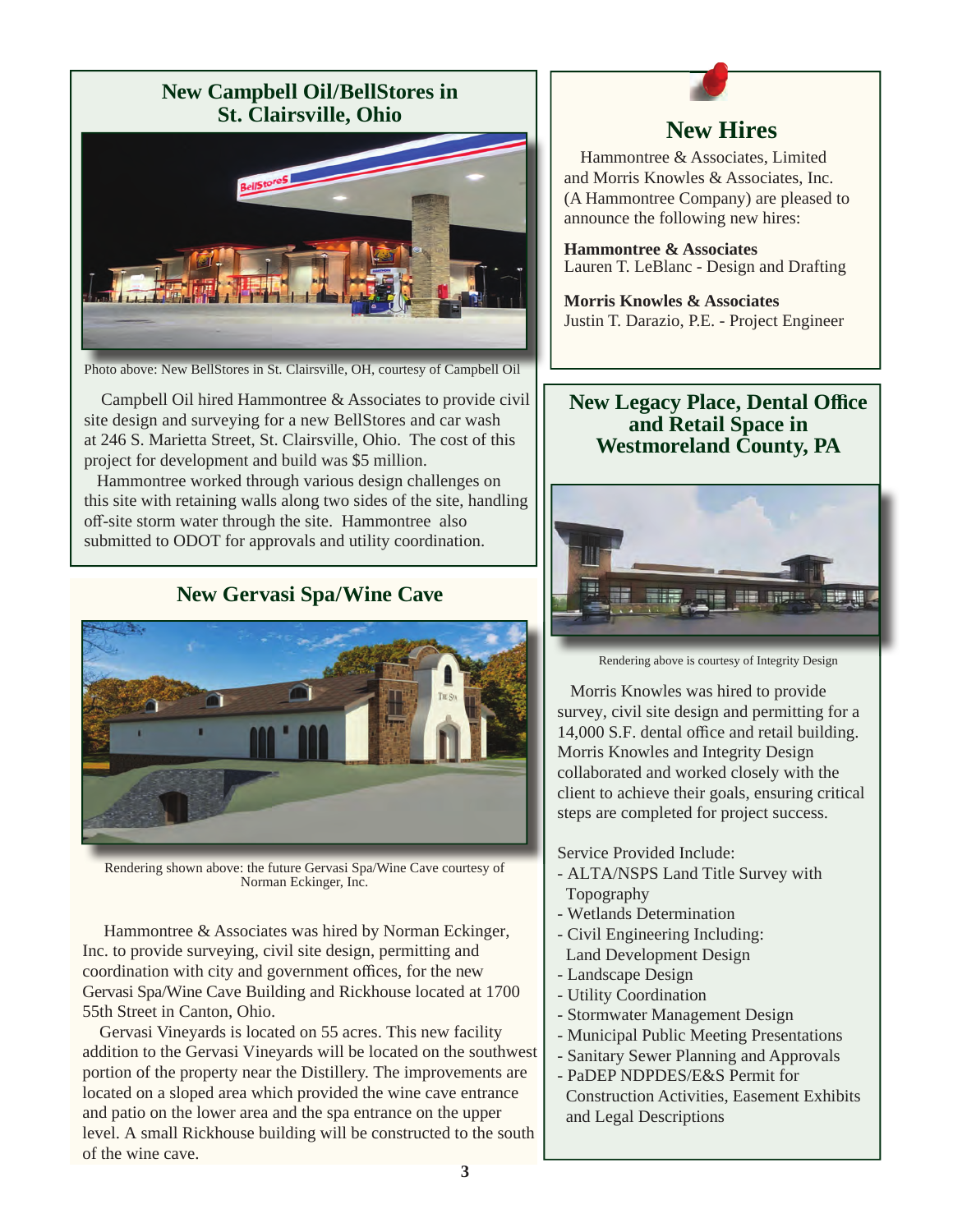## **New Campbell Oil/BellStores in St. Clairsville, Ohio**



Photo above: New BellStores in St. Clairsville, OH, courtesy of Campbell Oil

 Campbell Oil hired Hammontree & Associates to provide civil site design and surveying for a new BellStores and car wash at 246 S. Marietta Street, St. Clairsville, Ohio. The cost of this project for development and build was \$5 million.

 Hammontree worked through various design challenges on this site with retaining walls along two sides of the site, handling off -site storm water through the site. Hammontree also submitted to ODOT for approvals and utility coordination.

## **New Gervasi Spa/Wine Cave**



Rendering shown above: the future Gervasi Spa/Wine Cave courtesy of Norman Eckinger, Inc.

 Hammontree & Associates was hired by Norman Eckinger, Inc. to provide surveying, civil site design, permitting and coordination with city and government offices, for the new Gervasi Spa/Wine Cave Building and Rickhouse located at 1700 55th Street in Canton, Ohio.

 Gervasi Vineyards is located on 55 acres. This new facility addition to the Gervasi Vineyards will be located on the southwest portion of the property near the Distillery. The improvements are located on a sloped area which provided the wine cave entrance and patio on the lower area and the spa entrance on the upper level. A small Rickhouse building will be constructed to the south of the wine cave.

**New Hires**<br>**Hammontree & Associates, Limited** and Morris Knowles & Associates, Inc. (A Hammontree Company) are pleased to announce the following new hires:

**Hammontree & Associates** Lauren T. LeBlanc - Design and Drafting

**Morris Knowles & Associates**  Justin T. Darazio, P.E. - Project Engineer

## **New Legacy Place, Dental Office and Retail Space in Westmoreland County, PA**



Rendering above is courtesy of Integrity Design

 Morris Knowles was hired to provide survey, civil site design and permitting for a 14,000 S.F. dental office and retail building. Morris Knowles and Integrity Design collaborated and worked closely with the client to achieve their goals, ensuring critical steps are completed for project success.

Service Provided Include:

- ALTA/NSPS Land Title Survey with Topography
- Wetlands Determination
- Civil Engineering Including: Land Development Design
- Landscape Design
- Utility Coordination
- Stormwater Management Design
- Municipal Public Meeting Presentations
- Sanitary Sewer Planning and Approvals
- PaDEP NDPDES/E&S Permit for
- Construction Activities, Easement Exhibits and Legal Descriptions